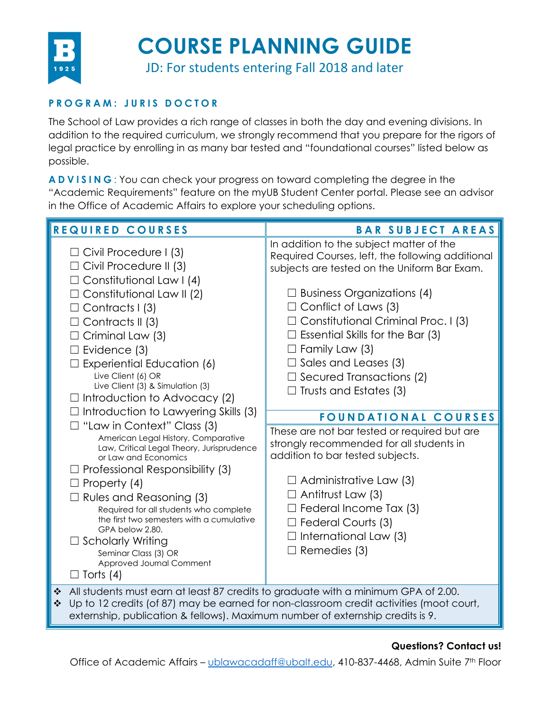

## **COURSE PLANNING GUIDE**

JD: For students entering Fall 2018 and later

### **PROGRAM: JURIS DOCTOR**

The School of Law provides a rich range of classes in both the day and evening divisions. In addition to the required curriculum, we strongly recommend that you prepare for the rigors of legal practice by enrolling in as many bar tested and "foundational courses" listed below as possible.

**ADVISING** : You can check your progress on toward completing the degree in the "Academic Requirements" feature on the myUB Student Center portal. Please see an advisor in the Office of Academic Affairs to explore your scheduling options.

| REQUIRED COURSES                                                                                                                                                                                                                                                                                                                                                                                                                                                                                                                                                                                                                                                                                                                                                                                                                                                               | <b>BAR SUBJECT AREAS</b>                                                                                                                                                                                                                                                                                                                                                                                                                                                                                                                                                                                                                                                                                                                                                               |
|--------------------------------------------------------------------------------------------------------------------------------------------------------------------------------------------------------------------------------------------------------------------------------------------------------------------------------------------------------------------------------------------------------------------------------------------------------------------------------------------------------------------------------------------------------------------------------------------------------------------------------------------------------------------------------------------------------------------------------------------------------------------------------------------------------------------------------------------------------------------------------|----------------------------------------------------------------------------------------------------------------------------------------------------------------------------------------------------------------------------------------------------------------------------------------------------------------------------------------------------------------------------------------------------------------------------------------------------------------------------------------------------------------------------------------------------------------------------------------------------------------------------------------------------------------------------------------------------------------------------------------------------------------------------------------|
| $\Box$ Civil Procedure I (3)<br>$\Box$ Civil Procedure II (3)<br>$\Box$ Constitutional Law I (4)<br>$\Box$ Constitutional Law II (2)<br>$\Box$ Contracts I (3)<br>$\Box$ Contracts II (3)<br>$\Box$ Criminal Law (3)<br>$\Box$ Evidence (3)<br><b>Experiential Education (6)</b><br>Live Client (6) OR<br>Live Client (3) & Simulation (3)<br>$\Box$ Introduction to Advocacy (2)<br>$\Box$ Introduction to Lawyering Skills (3)<br>$\Box$ "Law in Context" Class (3)<br>American Legal History, Comparative<br>Law, Critical Legal Theory, Jurisprudence<br>or Law and Economics<br>$\Box$ Professional Responsibility (3)<br>$\Box$ Property (4)<br>$\Box$ Rules and Reasoning (3)<br>Required for all students who complete<br>the first two semesters with a cumulative<br>GPA below 2.80.<br>$\Box$ Scholarly Writing<br>Seminar Class (3) OR<br>Approved Journal Comment | In addition to the subject matter of the<br>Required Courses, left, the following additional<br>subjects are tested on the Uniform Bar Exam.<br>$\Box$ Business Organizations (4)<br>$\Box$ Conflict of Laws (3)<br>$\Box$ Constitutional Criminal Proc. I (3)<br>$\Box$ Essential Skills for the Bar (3)<br>$\Box$ Family Law (3)<br>$\Box$ Sales and Leases (3)<br>$\Box$ Secured Transactions (2)<br>$\Box$ Trusts and Estates (3)<br><b>FOUNDATIONAL COURSES</b><br>These are not bar tested or required but are<br>strongly recommended for all students in<br>addition to bar tested subjects.<br>$\Box$ Administrative Law (3)<br>$\Box$ Antitrust Law (3)<br>$\Box$ Federal Income Tax (3)<br>$\Box$ Federal Courts (3)<br>$\Box$ International Law (3)<br>$\Box$ Remedies (3) |
| $\Box$ Torts (4)<br>All students must earn at least 87 credits to graduate with a minimum GPA of 2.00.<br>$\bullet^{\bullet}_{\Phi}$<br>Up to 12 credits (of 87) may be earned for non-classroom credit activities (moot court,<br>❖                                                                                                                                                                                                                                                                                                                                                                                                                                                                                                                                                                                                                                           |                                                                                                                                                                                                                                                                                                                                                                                                                                                                                                                                                                                                                                                                                                                                                                                        |
| externship, publication & fellows). Maximum number of externship credits is 9.                                                                                                                                                                                                                                                                                                                                                                                                                                                                                                                                                                                                                                                                                                                                                                                                 |                                                                                                                                                                                                                                                                                                                                                                                                                                                                                                                                                                                                                                                                                                                                                                                        |

### **Questions? Contact us!**